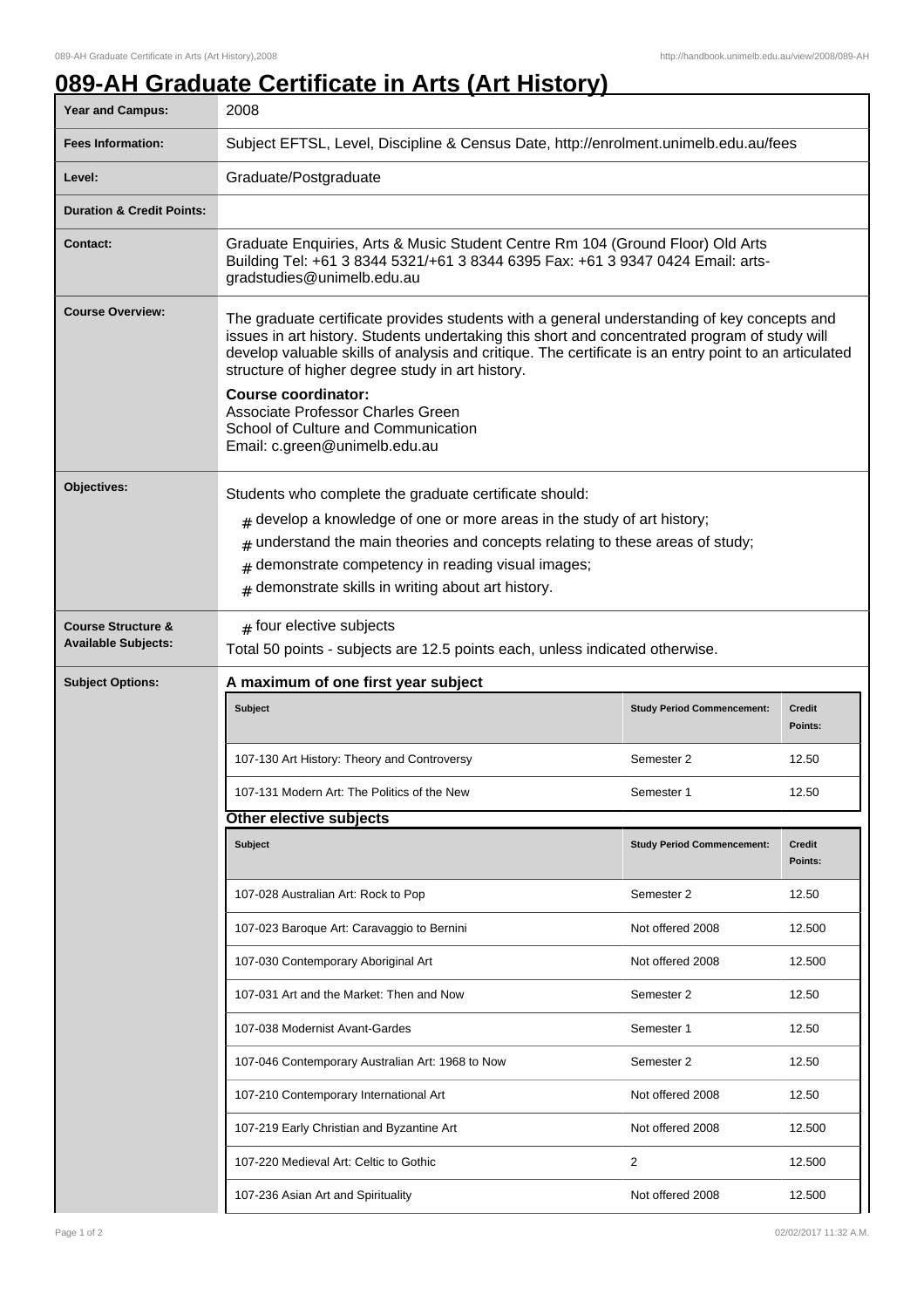## **089-AH Graduate Certificate in Arts (Art History)**

| Year and Campus:                                            | 2008                                                                                                                                                                                                                                                                                                                                                                                                                                                                                                 |                                   |                          |  |
|-------------------------------------------------------------|------------------------------------------------------------------------------------------------------------------------------------------------------------------------------------------------------------------------------------------------------------------------------------------------------------------------------------------------------------------------------------------------------------------------------------------------------------------------------------------------------|-----------------------------------|--------------------------|--|
| <b>Fees Information:</b>                                    | Subject EFTSL, Level, Discipline & Census Date, http://enrolment.unimelb.edu.au/fees                                                                                                                                                                                                                                                                                                                                                                                                                 |                                   |                          |  |
| Level:                                                      | Graduate/Postgraduate                                                                                                                                                                                                                                                                                                                                                                                                                                                                                |                                   |                          |  |
| <b>Duration &amp; Credit Points:</b>                        |                                                                                                                                                                                                                                                                                                                                                                                                                                                                                                      |                                   |                          |  |
| <b>Contact:</b>                                             | Graduate Enquiries, Arts & Music Student Centre Rm 104 (Ground Floor) Old Arts<br>Building Tel: +61 3 8344 5321/+61 3 8344 6395 Fax: +61 3 9347 0424 Email: arts-<br>gradstudies@unimelb.edu.au                                                                                                                                                                                                                                                                                                      |                                   |                          |  |
| <b>Course Overview:</b>                                     | The graduate certificate provides students with a general understanding of key concepts and<br>issues in art history. Students undertaking this short and concentrated program of study will<br>develop valuable skills of analysis and critique. The certificate is an entry point to an articulated<br>structure of higher degree study in art history.<br><b>Course coordinator:</b><br>Associate Professor Charles Green<br>School of Culture and Communication<br>Email: c.green@unimelb.edu.au |                                   |                          |  |
| Objectives:                                                 | Students who complete the graduate certificate should:<br>$#$ develop a knowledge of one or more areas in the study of art history;<br>$#$ understand the main theories and concepts relating to these areas of study;<br>demonstrate competency in reading visual images;<br>#<br>demonstrate skills in writing about art history.<br>#                                                                                                                                                             |                                   |                          |  |
| <b>Course Structure &amp;</b><br><b>Available Subjects:</b> | $#$ four elective subjects<br>Total 50 points - subjects are 12.5 points each, unless indicated otherwise.                                                                                                                                                                                                                                                                                                                                                                                           |                                   |                          |  |
|                                                             |                                                                                                                                                                                                                                                                                                                                                                                                                                                                                                      |                                   |                          |  |
| <b>Subject Options:</b>                                     | A maximum of one first year subject                                                                                                                                                                                                                                                                                                                                                                                                                                                                  |                                   |                          |  |
|                                                             | Subject                                                                                                                                                                                                                                                                                                                                                                                                                                                                                              | <b>Study Period Commencement:</b> | <b>Credit</b><br>Points: |  |
|                                                             | 107-130 Art History: Theory and Controversy                                                                                                                                                                                                                                                                                                                                                                                                                                                          | Semester 2                        | 12.50                    |  |
|                                                             | 107-131 Modern Art: The Politics of the New                                                                                                                                                                                                                                                                                                                                                                                                                                                          | Semester 1                        | 12.50                    |  |
|                                                             | Other elective subjects                                                                                                                                                                                                                                                                                                                                                                                                                                                                              |                                   |                          |  |
|                                                             | Subject                                                                                                                                                                                                                                                                                                                                                                                                                                                                                              | <b>Study Period Commencement:</b> | Credit<br>Points:        |  |
|                                                             | 107-028 Australian Art: Rock to Pop                                                                                                                                                                                                                                                                                                                                                                                                                                                                  | Semester 2                        | 12.50                    |  |
|                                                             | 107-023 Baroque Art: Caravaggio to Bernini                                                                                                                                                                                                                                                                                                                                                                                                                                                           | Not offered 2008                  | 12.500                   |  |
|                                                             | 107-030 Contemporary Aboriginal Art                                                                                                                                                                                                                                                                                                                                                                                                                                                                  | Not offered 2008                  | 12.500                   |  |
|                                                             | 107-031 Art and the Market: Then and Now                                                                                                                                                                                                                                                                                                                                                                                                                                                             | Semester 2                        | 12.50                    |  |
|                                                             | 107-038 Modernist Avant-Gardes                                                                                                                                                                                                                                                                                                                                                                                                                                                                       | Semester 1                        | 12.50                    |  |
|                                                             | 107-046 Contemporary Australian Art: 1968 to Now                                                                                                                                                                                                                                                                                                                                                                                                                                                     | Semester 2                        | 12.50                    |  |
|                                                             | 107-210 Contemporary International Art                                                                                                                                                                                                                                                                                                                                                                                                                                                               | Not offered 2008                  | 12.50                    |  |
|                                                             | 107-219 Early Christian and Byzantine Art                                                                                                                                                                                                                                                                                                                                                                                                                                                            | Not offered 2008                  | 12.500                   |  |
|                                                             | 107-220 Medieval Art: Celtic to Gothic                                                                                                                                                                                                                                                                                                                                                                                                                                                               | 2                                 | 12.500                   |  |